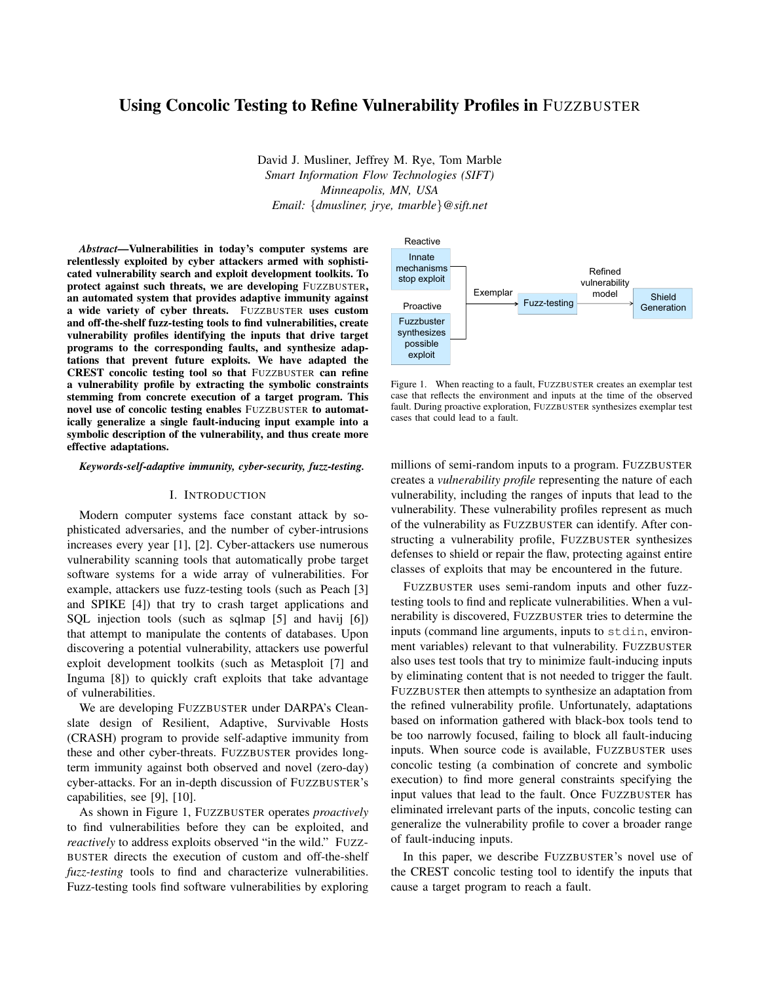# Using Concolic Testing to Refine Vulnerability Profiles in FUZZBUSTER

David J. Musliner, Jeffrey M. Rye, Tom Marble *Smart Information Flow Technologies (SIFT) Minneapolis, MN, USA Email:* {*dmusliner, jrye, tmarble*}*@sift.net*

*Abstract*—Vulnerabilities in today's computer systems are relentlessly exploited by cyber attackers armed with sophisticated vulnerability search and exploit development toolkits. To protect against such threats, we are developing FUZZBUSTER, an automated system that provides adaptive immunity against a wide variety of cyber threats. FUZZBUSTER uses custom and off-the-shelf fuzz-testing tools to find vulnerabilities, create vulnerability profiles identifying the inputs that drive target programs to the corresponding faults, and synthesize adaptations that prevent future exploits. We have adapted the CREST concolic testing tool so that FUZZBUSTER can refine a vulnerability profile by extracting the symbolic constraints stemming from concrete execution of a target program. This novel use of concolic testing enables FUZZBUSTER to automatically generalize a single fault-inducing input example into a symbolic description of the vulnerability, and thus create more effective adaptations.

# *Keywords*-*self-adaptive immunity, cyber-security, fuzz-testing.*

#### I. INTRODUCTION

Modern computer systems face constant attack by sophisticated adversaries, and the number of cyber-intrusions increases every year [1], [2]. Cyber-attackers use numerous vulnerability scanning tools that automatically probe target software systems for a wide array of vulnerabilities. For example, attackers use fuzz-testing tools (such as Peach [3] and SPIKE [4]) that try to crash target applications and SQL injection tools (such as sqlmap [5] and havij [6]) that attempt to manipulate the contents of databases. Upon discovering a potential vulnerability, attackers use powerful exploit development toolkits (such as Metasploit [7] and Inguma [8]) to quickly craft exploits that take advantage of vulnerabilities.

We are developing FUZZBUSTER under DARPA's Cleanslate design of Resilient, Adaptive, Survivable Hosts (CRASH) program to provide self-adaptive immunity from these and other cyber-threats. FUZZBUSTER provides longterm immunity against both observed and novel (zero-day) cyber-attacks. For an in-depth discussion of FUZZBUSTER's capabilities, see [9], [10].

As shown in Figure 1, FUZZBUSTER operates *proactively* to find vulnerabilities before they can be exploited, and *reactively* to address exploits observed "in the wild." FUZZ-BUSTER directs the execution of custom and off-the-shelf *fuzz-testing* tools to find and characterize vulnerabilities. Fuzz-testing tools find software vulnerabilities by exploring



Figure 1. When reacting to a fault, FUZZBUSTER creates an exemplar test case that reflects the environment and inputs at the time of the observed fault. During proactive exploration, FUZZBUSTER synthesizes exemplar test cases that could lead to a fault.

millions of semi-random inputs to a program. FUZZBUSTER creates a *vulnerability profile* representing the nature of each vulnerability, including the ranges of inputs that lead to the vulnerability. These vulnerability profiles represent as much of the vulnerability as FUZZBUSTER can identify. After constructing a vulnerability profile, FUZZBUSTER synthesizes defenses to shield or repair the flaw, protecting against entire classes of exploits that may be encountered in the future.

FUZZBUSTER uses semi-random inputs and other fuzztesting tools to find and replicate vulnerabilities. When a vulnerability is discovered, FUZZBUSTER tries to determine the inputs (command line arguments, inputs to stdin, environment variables) relevant to that vulnerability. FUZZBUSTER also uses test tools that try to minimize fault-inducing inputs by eliminating content that is not needed to trigger the fault. FUZZBUSTER then attempts to synthesize an adaptation from the refined vulnerability profile. Unfortunately, adaptations based on information gathered with black-box tools tend to be too narrowly focused, failing to block all fault-inducing inputs. When source code is available, FUZZBUSTER uses concolic testing (a combination of concrete and symbolic execution) to find more general constraints specifying the input values that lead to the fault. Once FUZZBUSTER has eliminated irrelevant parts of the inputs, concolic testing can generalize the vulnerability profile to cover a broader range of fault-inducing inputs.

In this paper, we describe FUZZBUSTER's novel use of the CREST concolic testing tool to identify the inputs that cause a target program to reach a fault.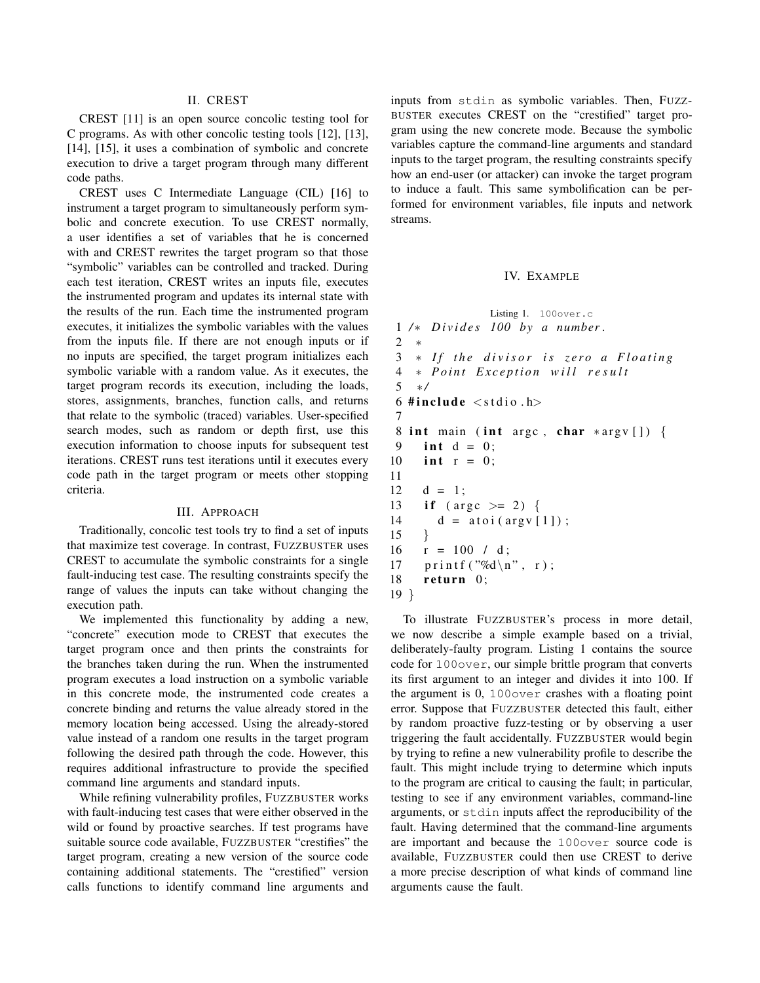## II. CREST

CREST [11] is an open source concolic testing tool for C programs. As with other concolic testing tools [12], [13], [14], [15], it uses a combination of symbolic and concrete execution to drive a target program through many different code paths.

CREST uses C Intermediate Language (CIL) [16] to instrument a target program to simultaneously perform symbolic and concrete execution. To use CREST normally, a user identifies a set of variables that he is concerned with and CREST rewrites the target program so that those "symbolic" variables can be controlled and tracked. During each test iteration, CREST writes an inputs file, executes the instrumented program and updates its internal state with the results of the run. Each time the instrumented program executes, it initializes the symbolic variables with the values from the inputs file. If there are not enough inputs or if no inputs are specified, the target program initializes each symbolic variable with a random value. As it executes, the target program records its execution, including the loads, stores, assignments, branches, function calls, and returns that relate to the symbolic (traced) variables. User-specified search modes, such as random or depth first, use this execution information to choose inputs for subsequent test iterations. CREST runs test iterations until it executes every code path in the target program or meets other stopping criteria.

# III. APPROACH

Traditionally, concolic test tools try to find a set of inputs that maximize test coverage. In contrast, FUZZBUSTER uses CREST to accumulate the symbolic constraints for a single fault-inducing test case. The resulting constraints specify the range of values the inputs can take without changing the execution path.

We implemented this functionality by adding a new, "concrete" execution mode to CREST that executes the target program once and then prints the constraints for the branches taken during the run. When the instrumented program executes a load instruction on a symbolic variable in this concrete mode, the instrumented code creates a concrete binding and returns the value already stored in the memory location being accessed. Using the already-stored value instead of a random one results in the target program following the desired path through the code. However, this requires additional infrastructure to provide the specified command line arguments and standard inputs.

While refining vulnerability profiles, FUZZBUSTER works with fault-inducing test cases that were either observed in the wild or found by proactive searches. If test programs have suitable source code available, FUZZBUSTER "crestifies" the target program, creating a new version of the source code containing additional statements. The "crestified" version calls functions to identify command line arguments and inputs from stdin as symbolic variables. Then, FUZZ-BUSTER executes CREST on the "crestified" target program using the new concrete mode. Because the symbolic variables capture the command-line arguments and standard inputs to the target program, the resulting constraints specify how an end-user (or attacker) can invoke the target program to induce a fault. This same symbolification can be performed for environment variables, file inputs and network streams.

#### IV. EXAMPLE

```
Listing 1. 100over.c
1 /* Divides 100 by a number.
2 ∗
3 * If the divisor is zero a Floating
4 * Point Exception will result5 ∗ /
6 #include \langlestdio.h\rangle7
8 int main (int argc, char *argy []) {
9 int d = 0;
10 int r = 0;
11
12 \quad d = 1;
13 if (\text{arg } c > = 2) {
14 d = \arcsin(\arg v [1]);15 }
16 \quad r = 100 / d;
17 printf ("%d\n", r);
18 return 0;
19 }
```
To illustrate FUZZBUSTER's process in more detail, we now describe a simple example based on a trivial, deliberately-faulty program. Listing 1 contains the source code for 100over, our simple brittle program that converts its first argument to an integer and divides it into 100. If the argument is 0, 100over crashes with a floating point error. Suppose that FUZZBUSTER detected this fault, either by random proactive fuzz-testing or by observing a user triggering the fault accidentally. FUZZBUSTER would begin by trying to refine a new vulnerability profile to describe the fault. This might include trying to determine which inputs to the program are critical to causing the fault; in particular, testing to see if any environment variables, command-line arguments, or stdin inputs affect the reproducibility of the fault. Having determined that the command-line arguments are important and because the 100over source code is available, FUZZBUSTER could then use CREST to derive a more precise description of what kinds of command line arguments cause the fault.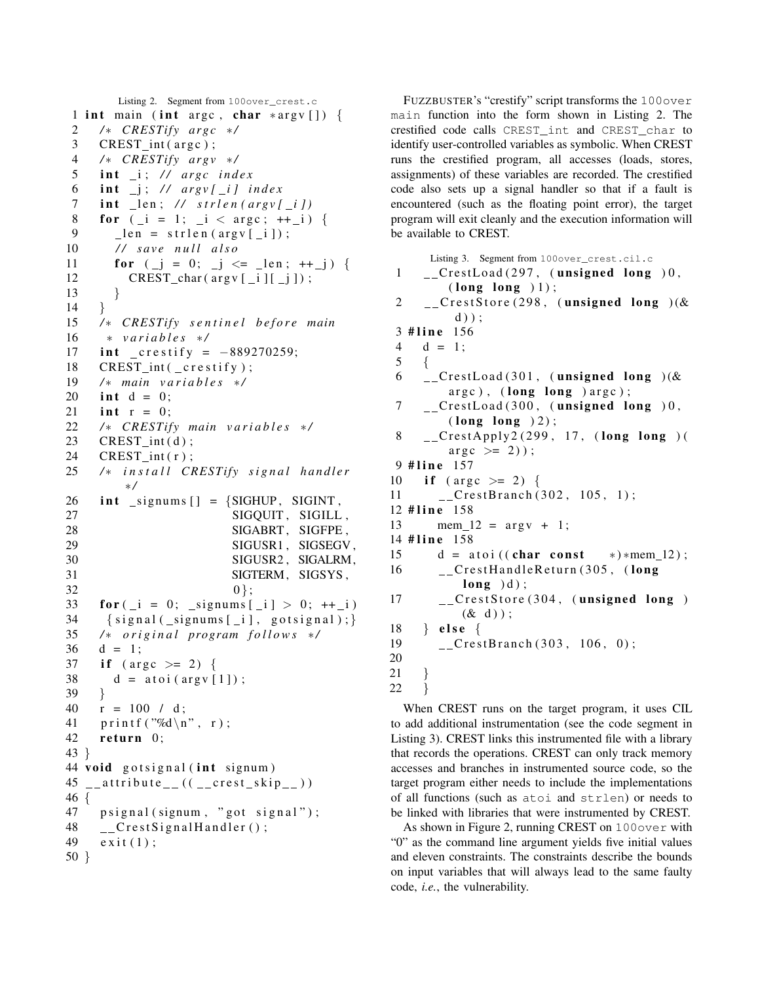```
Listing 2. Segment from 100over_crest.c
1 int main (int argc, char *argv[]) {
2 /* CRESTify argc */
3 CREST_int(argc);
4 / ∗ CRESTify a r g v ∗ /
5 int _i; // argc index
6 int _j; // argv[j] index
7 int _len; // strlen(argv[_i])
8 for (i = 1; j < arg c; ++ji)9 len = strlen(argv[i]);
10 / / s a v e n u l l a l s o
11 for (\_j = 0; \_j \leq \_len; ++\_j) {
12 CREST_char (\arg v[ _i ][ _j ]);
13 }
14 }
15 /* CRESTify sentinel before main
16 ∗ v a r i a b l e s ∗ /
17 int _c restify = -889270259;
18 CREST_int(_crestify);
19 / ∗ main v a r i a b l e s ∗ /
20 int d = 0;
21 int r = 0;
22 /* CRESTify main variables */
23 CREST_int(d);
24 CREST_int(r);
25 /* install CRESTify signal handler
        ∗ /
26 int signums [ = {SIGHUP, SIGINT,
27 SIGQUIT, SIGILL,
28 SIGABRT, SIGFPE,
29 SIGUSR1, SIGSEGV,
30 SIGUSR2 , SIGALRM,
31 SIGTERM, SIGSYS,
32 \t\t\t 0};33 for (i = 0; \text{signums} [\text{ii}] > 0; ++\text{ii})34 \qquad \{ signal(\text{signums}[\text{ii}], \text{got signal}); \}35 / ∗ o r i g i n a l program f o l l o w s ∗ /
36 d = 1;
37 if (argc >= 2) {
38 d = \arcsin(\arg v [1]);39 }
40 \t r = 100 / d;
41 printf ("%d\n", r);
42 return 0;
43 }
44 void gotsignal (int signum)
45 _{\text{1}} attribute _{\text{1}} (( _{\text{1}} crest _{\text{1}} skip_{\text{1}})
46 {
47 psignal (signum, "got signal");
48 - \text{CrestSignalHandler}49 e x i t (1);
50 }
```
FUZZBUSTER's "crestify" script transforms the 100over main function into the form shown in Listing 2. The crestified code calls CREST\_int and CREST\_char to identify user-controlled variables as symbolic. When CREST runs the crestified program, all accesses (loads, stores, assignments) of these variables are recorded. The crestified code also sets up a signal handler so that if a fault is encountered (such as the floating point error), the target program will exit cleanly and the execution information will be available to CREST.

```
Listing 3. Segment from 100over_crest.cil.c
 1 \quad -CrestLoad (297, (unsigned long ) 0,
         (long long )1);2 _C Crest Store (298, (unsigned long ) (&
          d) ;
3 #line 156
4 d = 1;
5 {
6 CrestLoad (301, (unsigned long) (karg c), (long long ) arg c);
7 \quad \text{\_}CrestLoad (300, (unsigned long))0,
         (long long )2);8 \_CrestApply 2 (299, 17, (long long) (\arg c \geq 2);
9 #line 157
10 if (argc > = 2) {
11 \qquad \qquad -{\rm CrestBranch}(302, 105, 1);12 # line 158
13 mem-12 = \arg v + 1;
14 # line 158
15 d = atoi ((char const *) * mem_12);
16 ___CrestHandleReturn (305, (long
           long ) d );
17 __CrestStore (304, (unsigned long)
           ( & d ) ) ;
18 } else {
19 \qquad \qquad -{\rm CrestBranch}\,(303\, , \; 106\, , \; 0);20
21 }
22 }
```
When CREST runs on the target program, it uses CIL to add additional instrumentation (see the code segment in Listing 3). CREST links this instrumented file with a library that records the operations. CREST can only track memory accesses and branches in instrumented source code, so the target program either needs to include the implementations of all functions (such as atoi and strlen) or needs to be linked with libraries that were instrumented by CREST.

As shown in Figure 2, running CREST on 100over with "0" as the command line argument yields five initial values and eleven constraints. The constraints describe the bounds on input variables that will always lead to the same faulty code, *i.e.*, the vulnerability.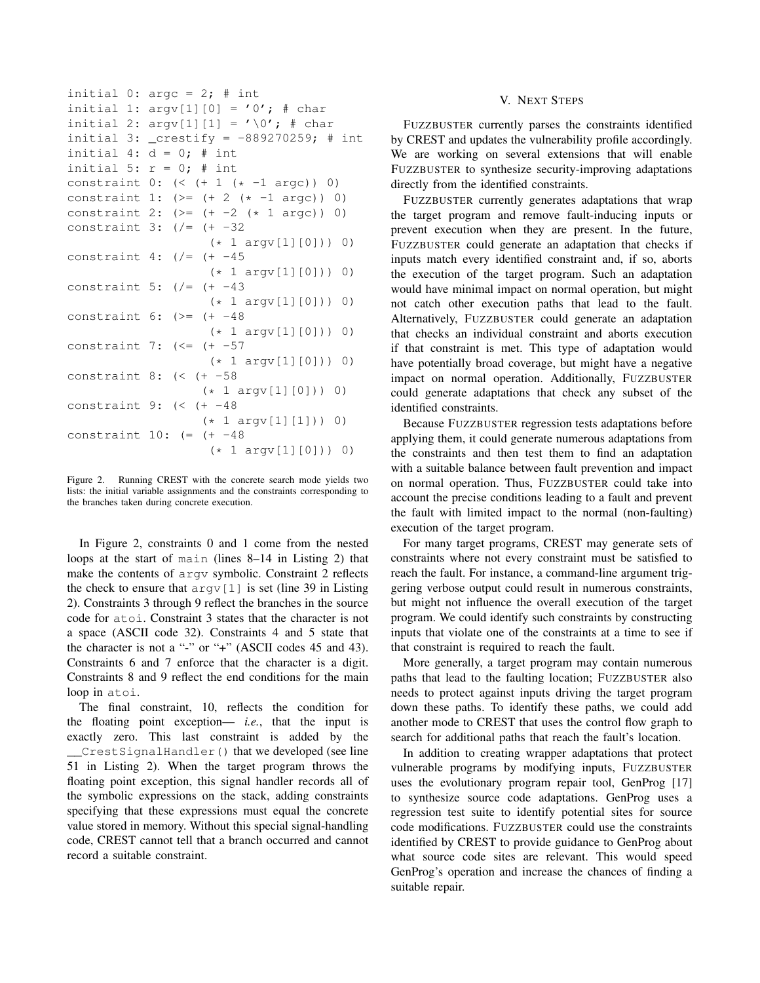```
initial 0: \text{argc} = 2; \# \text{int}initial 1: \arg v[1][0] = '0'; # char
initial 2: argv[1][1] = ' \0'; * charinitial 3: _crestify = -889270259; # intinitial 4: d = 0; # int
initial 5: r = 0; # int
constraint 0: (< + 1 (+ - 1 + 1)constraint 1: (>= (+ 2 (+ -1) \text{ arg})) 0)constraint 2: (>= (+ -2 ( * 1 \text{ arqc})) 0)constraint 3: \frac{\pi}{3} (/= (+ -32)(* 1 argv[1][0])) 0)
constraint 4: \left(\frac{\pi}{6}\right) (+ -45)
                      (* 1 argv[1][0])) 0)
constraint 5: \left(\frac{\pi}{6}\right) (+ -43)
                      (* 1 argv[1][0])) 0)
constraint 6: (>= (+ -48)(* 1 argv[1][0])) 0)
constraint 7: (<= (+ -57)(* 1 argv[1][0])) 0)
constraint 8: (< (+ -58
                     (* 1 argv[1][0])) 0)
constraint 9: (< (+ -48
                     (* 1 argv[1][1])) 0)
constraint 10: (= (+ -48)(* 1 argv[1][0])) 0)
```
Figure 2. Running CREST with the concrete search mode yields two lists: the initial variable assignments and the constraints corresponding to the branches taken during concrete execution.

In Figure 2, constraints 0 and 1 come from the nested loops at the start of main (lines 8–14 in Listing 2) that make the contents of argv symbolic. Constraint 2 reflects the check to ensure that  $\arg(v[1]$  is set (line 39 in Listing 2). Constraints 3 through 9 reflect the branches in the source code for atoi. Constraint 3 states that the character is not a space (ASCII code 32). Constraints 4 and 5 state that the character is not a "-" or "+" (ASCII codes 45 and 43). Constraints 6 and 7 enforce that the character is a digit. Constraints 8 and 9 reflect the end conditions for the main loop in atoi.

The final constraint, 10, reflects the condition for the floating point exception— *i.e.*, that the input is exactly zero. This last constraint is added by the \_\_CrestSignalHandler() that we developed (see line 51 in Listing 2). When the target program throws the floating point exception, this signal handler records all of the symbolic expressions on the stack, adding constraints specifying that these expressions must equal the concrete value stored in memory. Without this special signal-handling code, CREST cannot tell that a branch occurred and cannot record a suitable constraint.

#### V. NEXT STEPS

FUZZBUSTER currently parses the constraints identified by CREST and updates the vulnerability profile accordingly. We are working on several extensions that will enable FUZZBUSTER to synthesize security-improving adaptations directly from the identified constraints.

FUZZBUSTER currently generates adaptations that wrap the target program and remove fault-inducing inputs or prevent execution when they are present. In the future, FUZZBUSTER could generate an adaptation that checks if inputs match every identified constraint and, if so, aborts the execution of the target program. Such an adaptation would have minimal impact on normal operation, but might not catch other execution paths that lead to the fault. Alternatively, FUZZBUSTER could generate an adaptation that checks an individual constraint and aborts execution if that constraint is met. This type of adaptation would have potentially broad coverage, but might have a negative impact on normal operation. Additionally, FUZZBUSTER could generate adaptations that check any subset of the identified constraints.

Because FUZZBUSTER regression tests adaptations before applying them, it could generate numerous adaptations from the constraints and then test them to find an adaptation with a suitable balance between fault prevention and impact on normal operation. Thus, FUZZBUSTER could take into account the precise conditions leading to a fault and prevent the fault with limited impact to the normal (non-faulting) execution of the target program.

For many target programs, CREST may generate sets of constraints where not every constraint must be satisfied to reach the fault. For instance, a command-line argument triggering verbose output could result in numerous constraints, but might not influence the overall execution of the target program. We could identify such constraints by constructing inputs that violate one of the constraints at a time to see if that constraint is required to reach the fault.

More generally, a target program may contain numerous paths that lead to the faulting location; FUZZBUSTER also needs to protect against inputs driving the target program down these paths. To identify these paths, we could add another mode to CREST that uses the control flow graph to search for additional paths that reach the fault's location.

In addition to creating wrapper adaptations that protect vulnerable programs by modifying inputs, FUZZBUSTER uses the evolutionary program repair tool, GenProg [17] to synthesize source code adaptations. GenProg uses a regression test suite to identify potential sites for source code modifications. FUZZBUSTER could use the constraints identified by CREST to provide guidance to GenProg about what source code sites are relevant. This would speed GenProg's operation and increase the chances of finding a suitable repair.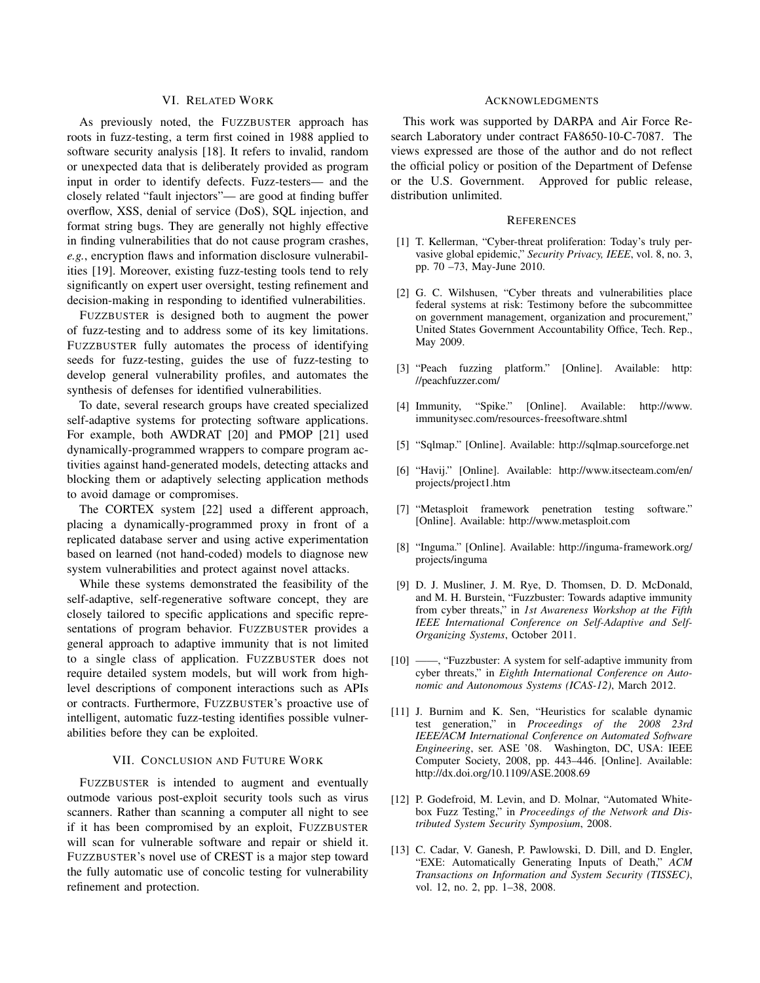# VI. RELATED WORK

As previously noted, the FUZZBUSTER approach has roots in fuzz-testing, a term first coined in 1988 applied to software security analysis [18]. It refers to invalid, random or unexpected data that is deliberately provided as program input in order to identify defects. Fuzz-testers— and the closely related "fault injectors"— are good at finding buffer overflow, XSS, denial of service (DoS), SQL injection, and format string bugs. They are generally not highly effective in finding vulnerabilities that do not cause program crashes, *e.g.*, encryption flaws and information disclosure vulnerabilities [19]. Moreover, existing fuzz-testing tools tend to rely significantly on expert user oversight, testing refinement and decision-making in responding to identified vulnerabilities.

FUZZBUSTER is designed both to augment the power of fuzz-testing and to address some of its key limitations. FUZZBUSTER fully automates the process of identifying seeds for fuzz-testing, guides the use of fuzz-testing to develop general vulnerability profiles, and automates the synthesis of defenses for identified vulnerabilities.

To date, several research groups have created specialized self-adaptive systems for protecting software applications. For example, both AWDRAT [20] and PMOP [21] used dynamically-programmed wrappers to compare program activities against hand-generated models, detecting attacks and blocking them or adaptively selecting application methods to avoid damage or compromises.

The CORTEX system [22] used a different approach, placing a dynamically-programmed proxy in front of a replicated database server and using active experimentation based on learned (not hand-coded) models to diagnose new system vulnerabilities and protect against novel attacks.

While these systems demonstrated the feasibility of the self-adaptive, self-regenerative software concept, they are closely tailored to specific applications and specific representations of program behavior. FUZZBUSTER provides a general approach to adaptive immunity that is not limited to a single class of application. FUZZBUSTER does not require detailed system models, but will work from highlevel descriptions of component interactions such as APIs or contracts. Furthermore, FUZZBUSTER's proactive use of intelligent, automatic fuzz-testing identifies possible vulnerabilities before they can be exploited.

# VII. CONCLUSION AND FUTURE WORK

FUZZBUSTER is intended to augment and eventually outmode various post-exploit security tools such as virus scanners. Rather than scanning a computer all night to see if it has been compromised by an exploit, FUZZBUSTER will scan for vulnerable software and repair or shield it. FUZZBUSTER's novel use of CREST is a major step toward the fully automatic use of concolic testing for vulnerability refinement and protection.

#### ACKNOWLEDGMENTS

This work was supported by DARPA and Air Force Research Laboratory under contract FA8650-10-C-7087. The views expressed are those of the author and do not reflect the official policy or position of the Department of Defense or the U.S. Government. Approved for public release, distribution unlimited.

#### **REFERENCES**

- [1] T. Kellerman, "Cyber-threat proliferation: Today's truly pervasive global epidemic," *Security Privacy, IEEE*, vol. 8, no. 3, pp. 70 –73, May-June 2010.
- [2] G. C. Wilshusen, "Cyber threats and vulnerabilities place federal systems at risk: Testimony before the subcommittee on government management, organization and procurement," United States Government Accountability Office, Tech. Rep., May 2009.
- [3] "Peach fuzzing platform." [Online]. Available: http: //peachfuzzer.com/
- [4] Immunity, "Spike." [Online]. Available: http://www. immunitysec.com/resources-freesoftware.shtml
- [5] "Sqlmap." [Online]. Available: http://sqlmap.sourceforge.net
- [6] "Havij." [Online]. Available: http://www.itsecteam.com/en/ projects/project1.htm
- [7] "Metasploit framework penetration testing software." [Online]. Available: http://www.metasploit.com
- [8] "Inguma." [Online]. Available: http://inguma-framework.org/ projects/inguma
- [9] D. J. Musliner, J. M. Rye, D. Thomsen, D. D. McDonald, and M. H. Burstein, "Fuzzbuster: Towards adaptive immunity from cyber threats," in *1st Awareness Workshop at the Fifth IEEE International Conference on Self-Adaptive and Self-Organizing Systems*, October 2011.
- [10] ——, "Fuzzbuster: A system for self-adaptive immunity from cyber threats," in *Eighth International Conference on Autonomic and Autonomous Systems (ICAS-12)*, March 2012.
- [11] J. Burnim and K. Sen, "Heuristics for scalable dynamic test generation," in *Proceedings of the 2008 23rd IEEE/ACM International Conference on Automated Software Engineering*, ser. ASE '08. Washington, DC, USA: IEEE Computer Society, 2008, pp. 443–446. [Online]. Available: http://dx.doi.org/10.1109/ASE.2008.69
- [12] P. Godefroid, M. Levin, and D. Molnar, "Automated Whitebox Fuzz Testing," in *Proceedings of the Network and Distributed System Security Symposium*, 2008.
- [13] C. Cadar, V. Ganesh, P. Pawlowski, D. Dill, and D. Engler, "EXE: Automatically Generating Inputs of Death," *ACM Transactions on Information and System Security (TISSEC)*, vol. 12, no. 2, pp. 1–38, 2008.